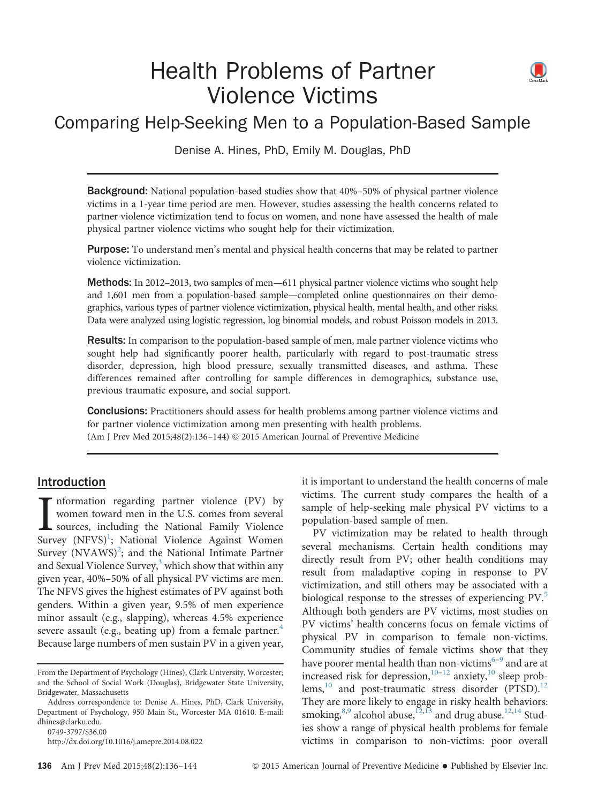# Health Problems of Partner Violence Victims



## Comparing Help-Seeking Men to a Population-Based Sample

Denise A. Hines, PhD, Emily M. Douglas, PhD

Background: National population-based studies show that 40%–50% of physical partner violence victims in a 1-year time period are men. However, studies assessing the health concerns related to partner violence victimization tend to focus on women, and none have assessed the health of male physical partner violence victims who sought help for their victimization.

Purpose: To understand men's mental and physical health concerns that may be related to partner violence victimization.

**Methods:** In 2012–2013, two samples of men—611 physical partner violence victims who sought help and 1,601 men from a population-based sample—completed online questionnaires on their demographics, various types of partner violence victimization, physical health, mental health, and other risks. Data were analyzed using logistic regression, log binomial models, and robust Poisson models in 2013.

Results: In comparison to the population-based sample of men, male partner violence victims who sought help had significantly poorer health, particularly with regard to post-traumatic stress disorder, depression, high blood pressure, sexually transmitted diseases, and asthma. These differences remained after controlling for sample differences in demographics, substance use, previous traumatic exposure, and social support.

**Conclusions:** Practitioners should assess for health problems among partner violence victims and for partner violence victimization among men presenting with health problems. (Am J Prev Med 2015;48(2):136–144) & 2015 American Journal of Preventive Medicine

## Introduction

 $\prod_{\text{Surr}}$ nformation regarding partner violence (PV) by women toward men in the U.S. comes from several sources, including the National Family Violence Survey (NFVS)<sup>1</sup>; National Violence Against Women Survey (NVAWS)<sup>2</sup>; and the National Intimate Partner and Sexual Violence Survey, $3$  which show that within any given year, 40%–50% of all physical PV victims are men. The NFVS gives the highest estimates of PV against both genders. Within a given year, 9.5% of men experience minor assault (e.g., slapping), whereas 4.5% experience severe assault (e.g., beating up) from a female partner.<sup>4</sup> Because large numbers of men sustain PV in a given year,

[0749-3797/\\$36.00](mailto:dhines@clarku.edu)

it is important to understand the health concerns of male victims. The current study compares the health of a sample of help-seeking male physical PV victims to a population-based sample of men.

PV victimization may be related to health through several mechanisms. Certain health conditions may directly result from PV; other health conditions may result from maladaptive coping in response to PV victimization, and still others may be associated with a biological response to the stresses of experiencing PV.<sup>[5](#page-7-0)</sup> Although both genders are PV victims, most studies on PV victims' health concerns focus on female victims of physical PV in comparison to female non-victims. Community studies of female victims show that they have poorer mental health than non-victims<sup>[6](#page-7-0)–[9](#page-7-0)</sup> and are at increased risk for depression, $10^{-12}$  $10^{-12}$  $10^{-12}$  $10^{-12}$  anxiety, $10$  sleep prob- $lems,^{10}$  $lems,^{10}$  $lems,^{10}$  and post-traumatic stress disorder (PTSD).<sup>12</sup> They are more likely to engage in risky health behaviors: smoking, $^{8,9}$  alcohol abuse, $^{12,13}$  $^{12,13}$  $^{12,13}$  and drug abuse. $^{12,14}$  $^{12,14}$  $^{12,14}$  Studies show a range of physical health problems for female victims in comparison to non-victims: poor overall

From the Department of Psychology (Hines), Clark University, Worcester; and the School of Social Work (Douglas), Bridgewater State University, Bridgewater, Massachusetts

Address correspondence to: Denise A. Hines, PhD, Clark University, Department of Psychology, 950 Main St., Worcester MA 01610. E-mail: [dhines@clarku.edu.](mailto:dhines@clarku.edu)

[http://dx.doi.org/10.1016/j.amepre.2014.08.022](dx.doi.org/10.1016/j.amepre.2014.08.022)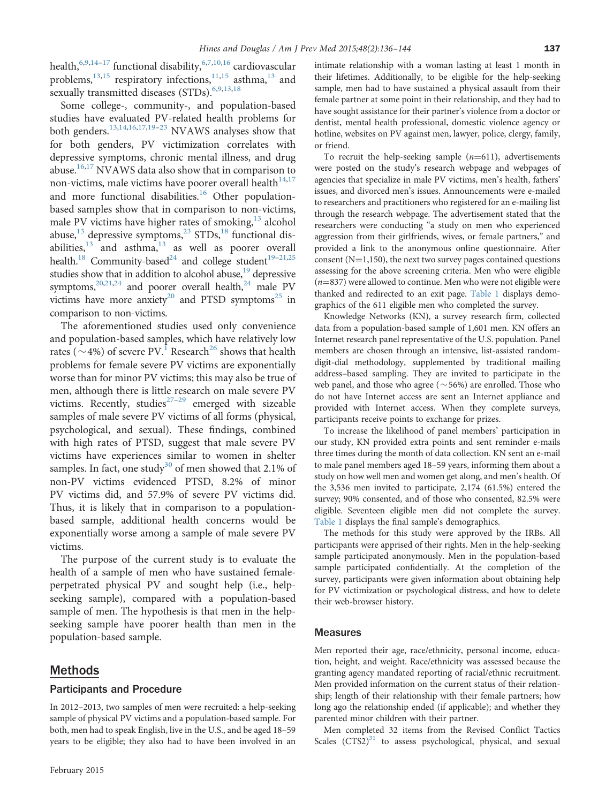health,  $6,9,14-17$  $6,9,14-17$  functional disability,  $6,7,10,16$  $6,7,10,16$  cardiovascular problems, $13,15$  respiratory infections, $11,15$  $11,15$  $11,15$  asthma, $13$  and sexually transmitted diseases (STDs).<sup>6,[9,13,18](#page-7-0)</sup>

Some college-, community-, and population-based studies have evaluated PV-related health problems for both genders.[13,14](#page-7-0),[16,17,19](#page-7-0)–[23](#page-7-0) NVAWS analyses show that for both genders, PV victimization correlates with depressive symptoms, chronic mental illness, and drug abuse.<sup>[16,17](#page-7-0)</sup> NVAWS data also show that in comparison to non-victims, male victims have poorer overall health $14,17$ and more functional disabilities. $16$  Other populationbased samples show that in comparison to non-victims, male PV victims have higher rates of smoking, $13$  alcohol abuse, $^{13}$  $^{13}$  $^{13}$  depressive symptoms, $^{23}$  $^{23}$  $^{23}$  STDs, $^{18}$  $^{18}$  $^{18}$  functional disabilities, $13$  and asthma, $13$  as well as poorer overall health.<sup>18</sup> Community-based<sup>24</sup> and college student<sup>[19](#page-7-0)-[21](#page-7-0),[25](#page-7-0)</sup> studies show that in addition to alcohol abuse, $19$  depressive symptoms, $^{20,21,24}$  $^{20,21,24}$  $^{20,21,24}$  and poorer overall health, $^{24}$  male PV victims have more anxiety<sup>20</sup> and PTSD symptoms<sup>[25](#page-7-0)</sup> in comparison to non-victims.

The aforementioned studies used only convenience and population-based samples, which have relatively low rates ( $\sim$  4%) of severe PV.<sup>[1](#page-7-0)</sup> Research<sup>[26](#page-7-0)</sup> shows that health problems for female severe PV victims are exponentially worse than for minor PV victims; this may also be true of men, although there is little research on male severe PV victims. Recently, studies $27-29$  $27-29$  emerged with sizeable samples of male severe PV victims of all forms (physical, psychological, and sexual). These findings, combined with high rates of PTSD, suggest that male severe PV victims have experiences similar to women in shelter samples. In fact, one study<sup>[30](#page-7-0)</sup> of men showed that 2.1% of non-PV victims evidenced PTSD, 8.2% of minor PV victims did, and 57.9% of severe PV victims did. Thus, it is likely that in comparison to a populationbased sample, additional health concerns would be exponentially worse among a sample of male severe PV victims.

The purpose of the current study is to evaluate the health of a sample of men who have sustained femaleperpetrated physical PV and sought help (i.e., helpseeking sample), compared with a population-based sample of men. The hypothesis is that men in the helpseeking sample have poorer health than men in the population-based sample.

#### Methods

#### Participants and Procedure

In 2012–2013, two samples of men were recruited: a help-seeking sample of physical PV victims and a population-based sample. For both, men had to speak English, live in the U.S., and be aged 18–59 years to be eligible; they also had to have been involved in an

intimate relationship with a woman lasting at least 1 month in their lifetimes. Additionally, to be eligible for the help-seeking sample, men had to have sustained a physical assault from their female partner at some point in their relationship, and they had to have sought assistance for their partner's violence from a doctor or dentist, mental health professional, domestic violence agency or hotline, websites on PV against men, lawyer, police, clergy, family, or friend.

To recruit the help-seeking sample  $(n=611)$ , advertisements were posted on the study's research webpage and webpages of agencies that specialize in male PV victims, men's health, fathers' issues, and divorced men's issues. Announcements were e-mailed to researchers and practitioners who registered for an e-mailing list through the research webpage. The advertisement stated that the researchers were conducting "a study on men who experienced aggression from their girlfriends, wives, or female partners," and provided a link to the anonymous online questionnaire. After consent ( $N=1,150$ ), the next two survey pages contained questions assessing for the above screening criteria. Men who were eligible  $(n=837)$  were allowed to continue. Men who were not eligible were thanked and redirected to an exit page. [Table 1](#page-2-0) displays demographics of the 611 eligible men who completed the survey.

Knowledge Networks (KN), a survey research firm, collected data from a population-based sample of 1,601 men. KN offers an Internet research panel representative of the U.S. population. Panel members are chosen through an intensive, list-assisted randomdigit-dial methodology, supplemented by traditional mailing address–based sampling. They are invited to participate in the web panel, and those who agree ( $\sim$  56%) are enrolled. Those who do not have Internet access are sent an Internet appliance and provided with Internet access. When they complete surveys, participants receive points to exchange for prizes.

To increase the likelihood of panel members' participation in our study, KN provided extra points and sent reminder e-mails three times during the month of data collection. KN sent an e-mail to male panel members aged 18–59 years, informing them about a study on how well men and women get along, and men's health. Of the 3,536 men invited to participate, 2,174 (61.5%) entered the survey; 90% consented, and of those who consented, 82.5% were eligible. Seventeen eligible men did not complete the survey. [Table 1](#page-2-0) displays the final sample's demographics.

The methods for this study were approved by the IRBs. All participants were apprised of their rights. Men in the help-seeking sample participated anonymously. Men in the population-based sample participated confidentially. At the completion of the survey, participants were given information about obtaining help for PV victimization or psychological distress, and how to delete their web-browser history.

#### **Measures**

Men reported their age, race/ethnicity, personal income, education, height, and weight. Race/ethnicity was assessed because the granting agency mandated reporting of racial/ethnic recruitment. Men provided information on the current status of their relationship; length of their relationship with their female partners; how long ago the relationship ended (if applicable); and whether they parented minor children with their partner.

Men completed 32 items from the Revised Conflict Tactics Scales  $(CTS2)^{31}$  $(CTS2)^{31}$  $(CTS2)^{31}$  to assess psychological, physical, and sexual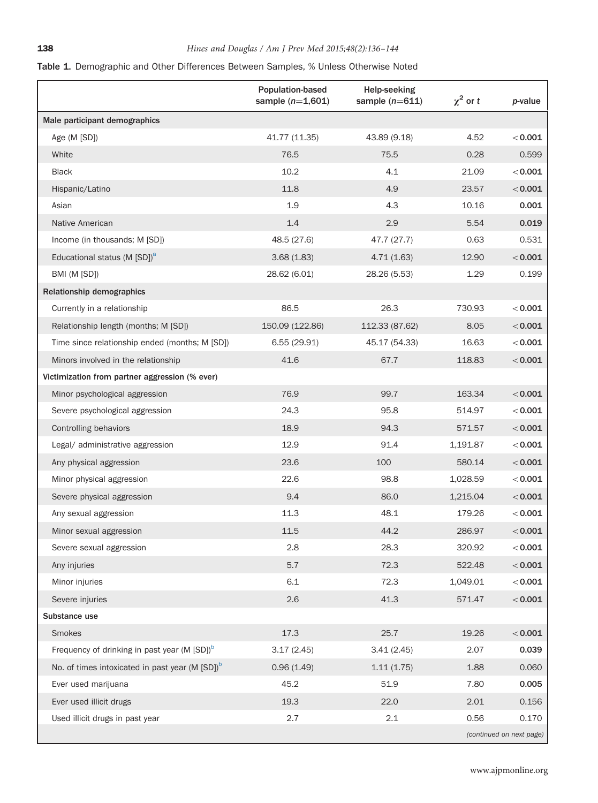## <span id="page-2-0"></span>Table 1. Demographic and Other Differences Between Samples, % Unless Otherwise Noted

|                                                             | Population-based<br>sample $(n=1,601)$ | <b>Help-seeking</b><br>sample $(n=611)$ | $\chi^2$ or t | <i>p</i> -value          |
|-------------------------------------------------------------|----------------------------------------|-----------------------------------------|---------------|--------------------------|
| Male participant demographics                               |                                        |                                         |               |                          |
| Age (M [SD])                                                | 41.77 (11.35)                          | 43.89 (9.18)                            | 4.52          | $<$ 0.001                |
| White                                                       | 76.5                                   | 75.5                                    | 0.28          | 0.599                    |
| <b>Black</b>                                                | 10.2                                   | 4.1                                     | 21.09         | < 0.001                  |
| Hispanic/Latino                                             | 11.8                                   | 4.9                                     | 23.57         | < 0.001                  |
| Asian                                                       | 1.9                                    | 4.3                                     | 10.16         | 0.001                    |
| Native American                                             | 1.4                                    | 2.9                                     | 5.54          | 0.019                    |
| Income (in thousands; M [SD])                               | 48.5 (27.6)                            | 47.7 (27.7)                             | 0.63          | 0.531                    |
| Educational status (M [SD]) <sup>a</sup>                    | 3.68(1.83)                             | 4.71(1.63)                              | 12.90         | < 0.001                  |
| BMI (M [SD])                                                | 28.62 (6.01)                           | 28.26 (5.53)                            | 1.29          | 0.199                    |
| Relationship demographics                                   |                                        |                                         |               |                          |
| Currently in a relationship                                 | 86.5                                   | 26.3                                    | 730.93        | $<$ 0.001                |
| Relationship length (months; M [SD])                        | 150.09 (122.86)                        | 112.33 (87.62)                          | 8.05          | < 0.001                  |
| Time since relationship ended (months; M [SD])              | 6.55(29.91)                            | 45.17 (54.33)                           | 16.63         | $<$ 0.001                |
| Minors involved in the relationship                         | 41.6                                   | 67.7                                    | 118.83        | < 0.001                  |
| Victimization from partner aggression (% ever)              |                                        |                                         |               |                          |
| Minor psychological aggression                              | 76.9                                   | 99.7                                    | 163.34        | < 0.001                  |
| Severe psychological aggression                             | 24.3                                   | 95.8                                    | 514.97        | $<$ 0.001                |
| Controlling behaviors                                       | 18.9                                   | 94.3                                    | 571.57        | < 0.001                  |
| Legal/ administrative aggression                            | 12.9                                   | 91.4                                    | 1,191.87      | $<$ 0.001                |
| Any physical aggression                                     | 23.6                                   | 100                                     | 580.14        | < 0.001                  |
| Minor physical aggression                                   | 22.6                                   | 98.8                                    | 1,028.59      | $<$ 0.001                |
| Severe physical aggression                                  | 9.4                                    | 86.0                                    | 1,215.04      | $<$ 0.001                |
| Any sexual aggression                                       | 11.3                                   | 48.1                                    | 179.26        | < 0.001                  |
| Minor sexual aggression                                     | 11.5                                   | 44.2                                    | 286.97        | < 0.001                  |
| Severe sexual aggression                                    | 2.8                                    | 28.3                                    | 320.92        | $<$ 0.001 $\,$           |
| Any injuries                                                | 5.7                                    | 72.3                                    | 522.48        | < 0.001                  |
| Minor injuries                                              | 6.1                                    | 72.3                                    | 1,049.01      | < 0.001                  |
| Severe injuries                                             | 2.6                                    | 41.3                                    | 571.47        | < 0.001                  |
| Substance use                                               |                                        |                                         |               |                          |
| Smokes                                                      | 17.3                                   | 25.7                                    | 19.26         | < 0.001                  |
| Frequency of drinking in past year (M [SD]) <sup>b</sup>    | 3.17(2.45)                             | 3.41(2.45)                              | 2.07          | 0.039                    |
| No. of times intoxicated in past year (M [SD]) <sup>b</sup> | 0.96(1.49)                             | 1.11(1.75)                              | 1.88          | 0.060                    |
| Ever used marijuana                                         | 45.2                                   | 51.9                                    | 7.80          | 0.005                    |
| Ever used illicit drugs                                     | 19.3                                   | 22.0                                    | 2.01          | 0.156                    |
| Used illicit drugs in past year                             | 2.7                                    | 2.1                                     | 0.56          | 0.170                    |
|                                                             |                                        |                                         |               | (continued on next page) |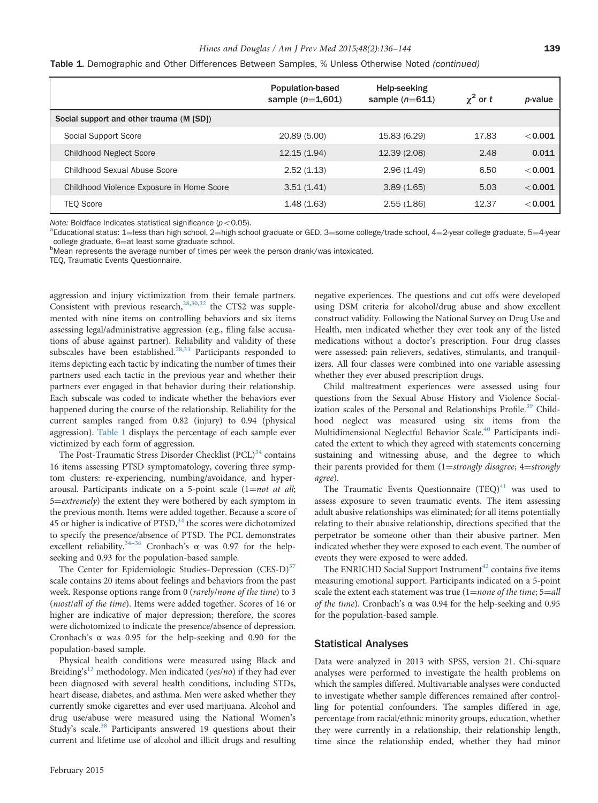#### Hines and Douglas / Am J Prev Med 2015;48(2):136-144 139

<span id="page-3-0"></span>Table 1. Demographic and Other Differences Between Samples, % Unless Otherwise Noted (continued)

|                                           | <b>Population-based</b><br>sample $(n=1,601)$ | Help-seeking<br>sample $(n=611)$ | $\gamma^2$ or t | <i>p</i> -value |
|-------------------------------------------|-----------------------------------------------|----------------------------------|-----------------|-----------------|
| Social support and other trauma (M [SD])  |                                               |                                  |                 |                 |
| Social Support Score                      | 20.89 (5.00)                                  | 15.83 (6.29)                     | 17.83           | < 0.001         |
| <b>Childhood Neglect Score</b>            | 12.15(1.94)                                   | 12.39 (2.08)                     | 2.48            | 0.011           |
| Childhood Sexual Abuse Score              | 2.52(1.13)                                    | 2.96(1.49)                       | 6.50            | < 0.001         |
| Childhood Violence Exposure in Home Score | 3.51(1.41)                                    | 3.89(1.65)                       | 5.03            | < 0.001         |
| <b>TEO Score</b>                          | 1.48(1.63)                                    | 2.55(1.86)                       | 12.37           | < 0.001         |

Note: Boldface indicates statistical significance ( $p < 0.05$ ).

ªEducational status: 1=less than high school, 2=high school graduate or GED, 3=some college/trade school, 4=2-year college graduate, 5=4-year<br>college graduate. 6=at least some graduate school. college graduate, 6=at least some graduate school.<br><sup>b</sup>Mean represents the average number of times per week the person drank/was intoxicated.

TEQ, Traumatic Events Questionnaire.

aggression and injury victimization from their female partners. Consistent with previous research, $28,30,32$  the CTS2 was supplemented with nine items on controlling behaviors and six items assessing legal/administrative aggression (e.g., filing false accusations of abuse against partner). Reliability and validity of these subscales have been established.<sup>[28,33](#page-7-0)</sup> Participants responded to items depicting each tactic by indicating the number of times their partners used each tactic in the previous year and whether their partners ever engaged in that behavior during their relationship. Each subscale was coded to indicate whether the behaviors ever happened during the course of the relationship. Reliability for the current samples ranged from 0.82 (injury) to 0.94 (physical aggression). [Table 1](#page-2-0) displays the percentage of each sample ever victimized by each form of aggression.

The Post-Traumatic Stress Disorder Checklist (PCL)<sup>[34](#page-7-0)</sup> contains 16 items assessing PTSD symptomatology, covering three symptom clusters: re-experiencing, numbing/avoidance, and hyperarousal. Participants indicate on a 5-point scale  $(1=not at all;$ 5=extremely) the extent they were bothered by each symptom in the previous month. Items were added together. Because a score of 45 or higher is indicative of PTSD, $34$  the scores were dichotomized to specify the presence/absence of PTSD. The PCL demonstrates excellent reliability.<sup>[34](#page-7-0)–[36](#page-7-0)</sup> Cronbach's  $\alpha$  was 0.97 for the helpseeking and 0.93 for the population-based sample.

The Center for Epidemiologic Studies–Depression (CES-D)<sup>[37](#page-7-0)</sup> scale contains 20 items about feelings and behaviors from the past week. Response options range from 0 (rarely/none of the time) to 3 (most/all of the time). Items were added together. Scores of 16 or higher are indicative of major depression; therefore, the scores were dichotomized to indicate the presence/absence of depression. Cronbach's  $\alpha$  was 0.95 for the help-seeking and 0.90 for the population-based sample.

Physical health conditions were measured using Black and Breiding's<sup>[13](#page-7-0)</sup> methodology. Men indicated (yes/no) if they had ever been diagnosed with several health conditions, including STDs, heart disease, diabetes, and asthma. Men were asked whether they currently smoke cigarettes and ever used marijuana. Alcohol and drug use/abuse were measured using the National Women's Study's scale.<sup>[38](#page-7-0)</sup> Participants answered 19 questions about their current and lifetime use of alcohol and illicit drugs and resulting negative experiences. The questions and cut offs were developed using DSM criteria for alcohol/drug abuse and show excellent construct validity. Following the National Survey on Drug Use and Health, men indicated whether they ever took any of the listed medications without a doctor's prescription. Four drug classes were assessed: pain relievers, sedatives, stimulants, and tranquilizers. All four classes were combined into one variable assessing whether they ever abused prescription drugs.

Child maltreatment experiences were assessed using four questions from the Sexual Abuse History and Violence Social-ization scales of the Personal and Relationships Profile.<sup>[39](#page-7-0)</sup> Childhood neglect was measured using six items from the Multidimensional Neglectful Behavior Scale.<sup>40</sup> Participants indicated the extent to which they agreed with statements concerning sustaining and witnessing abuse, and the degree to which their parents provided for them  $(1=strongly\; disagree; \; 4=strongly$ agree).

The Traumatic Events Questionnaire  $(TEQ)^{41}$  $(TEQ)^{41}$  $(TEQ)^{41}$  was used to assess exposure to seven traumatic events. The item assessing adult abusive relationships was eliminated; for all items potentially relating to their abusive relationship, directions specified that the perpetrator be someone other than their abusive partner. Men indicated whether they were exposed to each event. The number of events they were exposed to were added.

The ENRICHD Social Support Instrument<sup>[42](#page-8-0)</sup> contains five items measuring emotional support. Participants indicated on a 5-point scale the extent each statement was true  $(1=none\ of\ the\ time; 5=all$ of the time). Cronbach's  $\alpha$  was 0.94 for the help-seeking and 0.95 for the population-based sample.

#### Statistical Analyses

Data were analyzed in 2013 with SPSS, version 21. Chi-square analyses were performed to investigate the health problems on which the samples differed. Multivariable analyses were conducted to investigate whether sample differences remained after controlling for potential confounders. The samples differed in age, percentage from racial/ethnic minority groups, education, whether they were currently in a relationship, their relationship length, time since the relationship ended, whether they had minor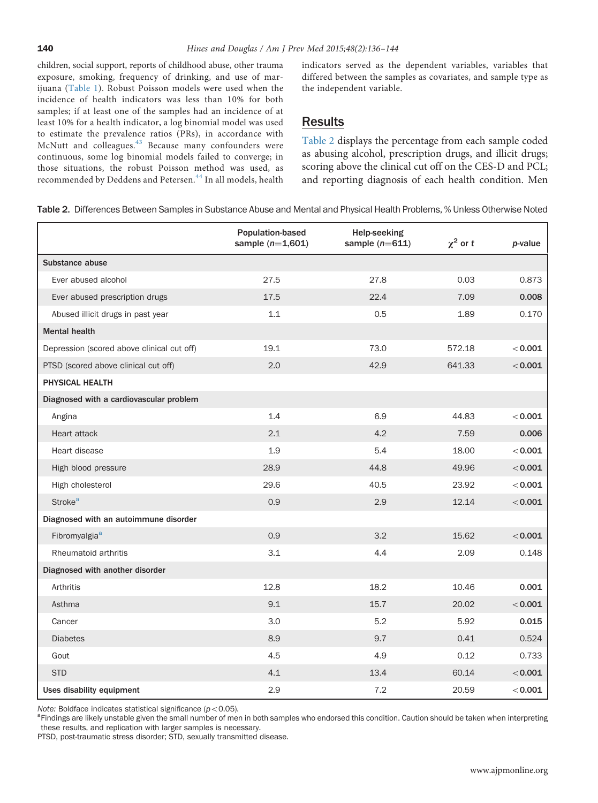children, social support, reports of childhood abuse, other trauma exposure, smoking, frequency of drinking, and use of marijuana ([Table 1\)](#page-2-0). Robust Poisson models were used when the incidence of health indicators was less than 10% for both samples; if at least one of the samples had an incidence of at least 10% for a health indicator, a log binomial model was used to estimate the prevalence ratios (PRs), in accordance with McNutt and colleagues.<sup>[43](#page-8-0)</sup> Because many confounders were continuous, some log binomial models failed to converge; in those situations, the robust Poisson method was used, as recommended by Deddens and Petersen.<sup>[44](#page-8-0)</sup> In all models, health

indicators served as the dependent variables, variables that differed between the samples as covariates, and sample type as the independent variable.

## Results

Table 2 displays the percentage from each sample coded as abusing alcohol, prescription drugs, and illicit drugs; scoring above the clinical cut off on the CES-D and PCL; and reporting diagnosis of each health condition. Men

Table 2. Differences Between Samples in Substance Abuse and Mental and Physical Health Problems, % Unless Otherwise Noted

|                                            | <b>Population-based</b><br>sample $(n=1,601)$ | <b>Help-seeking</b><br>sample $(n=611)$ | $\chi^2$ or t | p-value |
|--------------------------------------------|-----------------------------------------------|-----------------------------------------|---------------|---------|
| Substance abuse                            |                                               |                                         |               |         |
| Ever abused alcohol                        | 27.5                                          | 27.8                                    | 0.03          | 0.873   |
| Ever abused prescription drugs             | 17.5                                          | 22.4                                    | 7.09          | 0.008   |
| Abused illicit drugs in past year          | 1.1                                           | 0.5                                     | 1.89          | 0.170   |
| <b>Mental health</b>                       |                                               |                                         |               |         |
| Depression (scored above clinical cut off) | 19.1                                          | 73.0                                    | 572.18        | < 0.001 |
| PTSD (scored above clinical cut off)       | 2.0                                           | 42.9                                    | 641.33        | < 0.001 |
| PHYSICAL HEALTH                            |                                               |                                         |               |         |
| Diagnosed with a cardiovascular problem    |                                               |                                         |               |         |
| Angina                                     | 1.4                                           | 6.9                                     | 44.83         | < 0.001 |
| Heart attack                               | 2.1                                           | 4.2                                     | 7.59          | 0.006   |
| Heart disease                              | 1.9                                           | 5.4                                     | 18.00         | < 0.001 |
| High blood pressure                        | 28.9                                          | 44.8                                    | 49.96         | < 0.001 |
| High cholesterol                           | 29.6                                          | 40.5                                    | 23.92         | < 0.001 |
| <b>Stroke<sup>a</sup></b>                  | 0.9                                           | 2.9                                     | 12.14         | < 0.001 |
| Diagnosed with an autoimmune disorder      |                                               |                                         |               |         |
| Fibromyalgia <sup>a</sup>                  | 0.9                                           | 3.2                                     | 15.62         | < 0.001 |
| Rheumatoid arthritis                       | 3.1                                           | 4.4                                     | 2.09          | 0.148   |
| Diagnosed with another disorder            |                                               |                                         |               |         |
| Arthritis                                  | 12.8                                          | 18.2                                    | 10.46         | 0.001   |
| Asthma                                     | 9.1                                           | 15.7                                    | 20.02         | < 0.001 |
| Cancer                                     | 3.0                                           | 5.2                                     | 5.92          | 0.015   |
| <b>Diabetes</b>                            | 8.9                                           | 9.7                                     | 0.41          | 0.524   |
| Gout                                       | 4.5                                           | 4.9                                     | 0.12          | 0.733   |
| <b>STD</b>                                 | 4.1                                           | 13.4                                    | 60.14         | < 0.001 |
| Uses disability equipment                  | 2.9                                           | 7.2                                     | 20.59         | < 0.001 |

Note: Boldface indicates statistical significance ( $p < 0.05$ ).

<sup>a</sup>Findings are likely unstable given the small number of men in both samples who endorsed this condition. Caution should be taken when interpreting these results, and replication with larger samples is necessary.

PTSD, post-traumatic stress disorder; STD, sexually transmitted disease.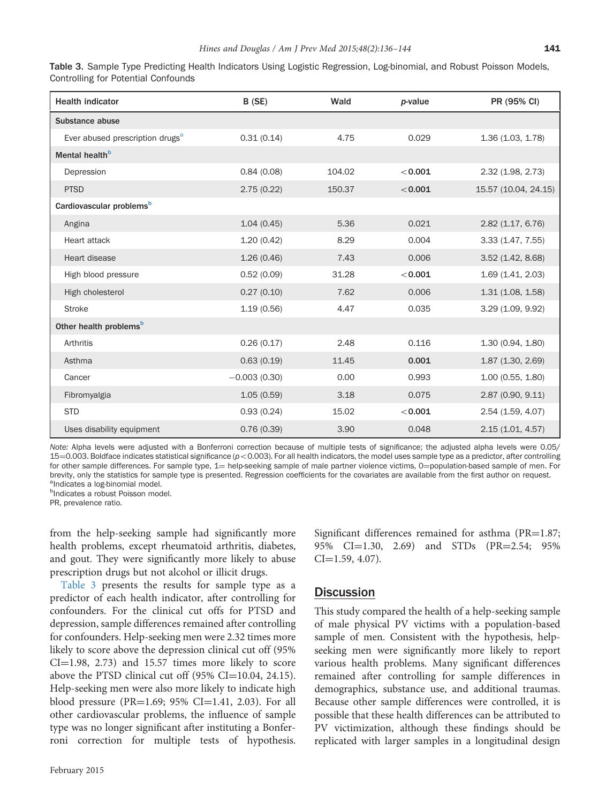| Table 3. Sample Type Predicting Health Indicators Using Logistic Regression, Log-binomial, and Robust Poisson Models, |  |  |  |
|-----------------------------------------------------------------------------------------------------------------------|--|--|--|
| Controlling for Potential Confounds                                                                                   |  |  |  |

| <b>Health indicator</b>                     | B (SE)         | Wald   | p-value | PR (95% CI)          |
|---------------------------------------------|----------------|--------|---------|----------------------|
| Substance abuse                             |                |        |         |                      |
| Ever abused prescription drugs <sup>a</sup> | 0.31(0.14)     | 4.75   | 0.029   | 1.36 (1.03, 1.78)    |
| Mental health <sup>b</sup>                  |                |        |         |                      |
| Depression                                  | 0.84(0.08)     | 104.02 | < 0.001 | 2.32(1.98, 2.73)     |
| <b>PTSD</b>                                 | 2.75(0.22)     | 150.37 | < 0.001 | 15.57 (10.04, 24.15) |
| Cardiovascular problems <sup>b</sup>        |                |        |         |                      |
| Angina                                      | 1.04(0.45)     | 5.36   | 0.021   | 2.82(1.17, 6.76)     |
| Heart attack                                | 1.20(0.42)     | 8.29   | 0.004   | 3.33 (1.47, 7.55)    |
| Heart disease                               | 1.26(0.46)     | 7.43   | 0.006   | 3.52(1.42, 8.68)     |
| High blood pressure                         | 0.52(0.09)     | 31.28  | < 0.001 | 1.69(1.41, 2.03)     |
| High cholesterol                            | 0.27(0.10)     | 7.62   | 0.006   | 1.31(1.08, 1.58)     |
| <b>Stroke</b>                               | 1.19(0.56)     | 4.47   | 0.035   | 3.29 (1.09, 9.92)    |
| Other health problems <sup>b</sup>          |                |        |         |                      |
| Arthritis                                   | 0.26(0.17)     | 2.48   | 0.116   | 1.30 (0.94, 1.80)    |
| Asthma                                      | 0.63(0.19)     | 11.45  | 0.001   | 1.87(1.30, 2.69)     |
| Cancer                                      | $-0.003(0.30)$ | 0.00   | 0.993   | 1.00(0.55, 1.80)     |
| Fibromyalgia                                | 1.05(0.59)     | 3.18   | 0.075   | 2.87 (0.90, 9.11)    |
| <b>STD</b>                                  | 0.93(0.24)     | 15.02  | < 0.001 | 2.54 (1.59, 4.07)    |
| Uses disability equipment                   | 0.76(0.39)     | 3.90   | 0.048   | 2.15(1.01, 4.57)     |

Note: Alpha levels were adjusted with a Bonferroni correction because of multiple tests of significance; the adjusted alpha levels were 0.05/  $15{=}0.003$ . Boldface indicates statistical significance ( $p < 0.003$ ). For all health indicators, the model uses sample type as a predictor, after controlling for other sample differences. For sample type,  $1=$  help-seeking sample of male partner violence victims,  $0=$ population-based sample of men. For brevity, only the statistics for sample type is presented. Regression coefficients for the covariates are available from the first author on request. <sup>a</sup>Indicates a log-binomial model.

<sup>b</sup>Indicates a robust Poisson model.

PR, prevalence ratio.

from the help-seeking sample had significantly more health problems, except rheumatoid arthritis, diabetes, and gout. They were significantly more likely to abuse prescription drugs but not alcohol or illicit drugs.

Table 3 presents the results for sample type as a predictor of each health indicator, after controlling for confounders. For the clinical cut offs for PTSD and depression, sample differences remained after controlling for confounders. Help-seeking men were 2.32 times more likely to score above the depression clinical cut off (95%  $CI=1.98, 2.73$  and 15.57 times more likely to score above the PTSD clinical cut off  $(95\% \text{ CI} = 10.04, 24.15)$ . Help-seeking men were also more likely to indicate high blood pressure (PR=1.69; 95% CI=1.41, 2.03). For all other cardiovascular problems, the influence of sample type was no longer significant after instituting a Bonferroni correction for multiple tests of hypothesis.

Significant differences remained for asthma ( $PR=1.87$ ; 95% CI=1.30, 2.69) and STDs (PR=2.54; 95%  $CI = 1.59, 4.07$ .

### **Discussion**

This study compared the health of a help-seeking sample of male physical PV victims with a population-based sample of men. Consistent with the hypothesis, helpseeking men were significantly more likely to report various health problems. Many significant differences remained after controlling for sample differences in demographics, substance use, and additional traumas. Because other sample differences were controlled, it is possible that these health differences can be attributed to PV victimization, although these findings should be replicated with larger samples in a longitudinal design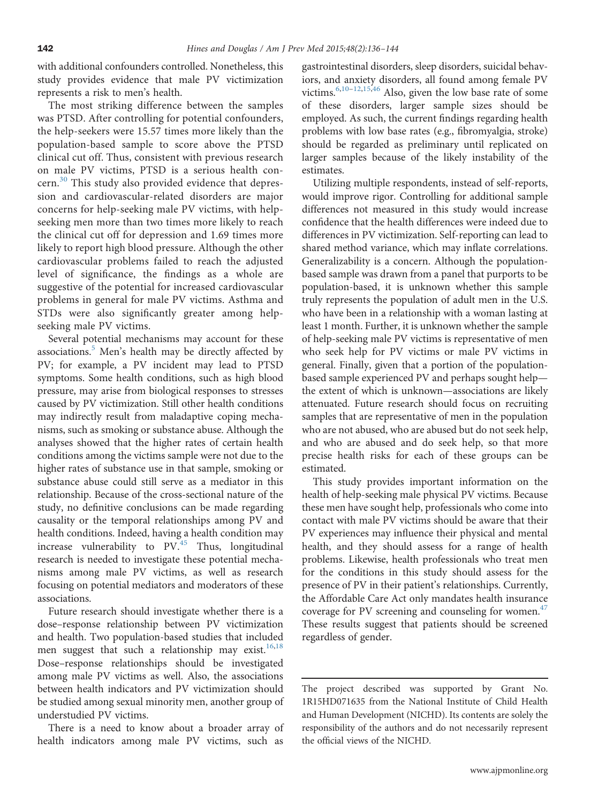with additional confounders controlled. Nonetheless, this study provides evidence that male PV victimization represents a risk to men's health.

The most striking difference between the samples was PTSD. After controlling for potential confounders, the help-seekers were 15.57 times more likely than the population-based sample to score above the PTSD clinical cut off. Thus, consistent with previous research on male PV victims, PTSD is a serious health con-cern.<sup>[30](#page-7-0)</sup> This study also provided evidence that depression and cardiovascular-related disorders are major concerns for help-seeking male PV victims, with helpseeking men more than two times more likely to reach the clinical cut off for depression and 1.69 times more likely to report high blood pressure. Although the other cardiovascular problems failed to reach the adjusted level of significance, the findings as a whole are suggestive of the potential for increased cardiovascular problems in general for male PV victims. Asthma and STDs were also significantly greater among helpseeking male PV victims.

Several potential mechanisms may account for these associations.<sup>[5](#page-7-0)</sup> Men's health may be directly affected by PV; for example, a PV incident may lead to PTSD symptoms. Some health conditions, such as high blood pressure, may arise from biological responses to stresses caused by PV victimization. Still other health conditions may indirectly result from maladaptive coping mechanisms, such as smoking or substance abuse. Although the analyses showed that the higher rates of certain health conditions among the victims sample were not due to the higher rates of substance use in that sample, smoking or substance abuse could still serve as a mediator in this relationship. Because of the cross-sectional nature of the study, no definitive conclusions can be made regarding causality or the temporal relationships among PV and health conditions. Indeed, having a health condition may increase vulnerability to  $PV<sup>45</sup>$  $PV<sup>45</sup>$  $PV<sup>45</sup>$  Thus, longitudinal research is needed to investigate these potential mechanisms among male PV victims, as well as research focusing on potential mediators and moderators of these associations.

Future research should investigate whether there is a dose–response relationship between PV victimization and health. Two population-based studies that included men suggest that such a relationship may exist. $16,18$ Dose–response relationships should be investigated among male PV victims as well. Also, the associations between health indicators and PV victimization should be studied among sexual minority men, another group of understudied PV victims.

There is a need to know about a broader array of health indicators among male PV victims, such as

gastrointestinal disorders, sleep disorders, suicidal behaviors, and anxiety disorders, all found among female PV victims.  $6,10-12,15,46$  $6,10-12,15,46$  $6,10-12,15,46$  $6,10-12,15,46$  $6,10-12,15,46$  $6,10-12,15,46$  Also, given the low base rate of some of these disorders, larger sample sizes should be employed. As such, the current findings regarding health problems with low base rates (e.g., fibromyalgia, stroke) should be regarded as preliminary until replicated on larger samples because of the likely instability of the estimates.

Utilizing multiple respondents, instead of self-reports, would improve rigor. Controlling for additional sample differences not measured in this study would increase confidence that the health differences were indeed due to differences in PV victimization. Self-reporting can lead to shared method variance, which may inflate correlations. Generalizability is a concern. Although the populationbased sample was drawn from a panel that purports to be population-based, it is unknown whether this sample truly represents the population of adult men in the U.S. who have been in a relationship with a woman lasting at least 1 month. Further, it is unknown whether the sample of help-seeking male PV victims is representative of men who seek help for PV victims or male PV victims in general. Finally, given that a portion of the populationbased sample experienced PV and perhaps sought help the extent of which is unknown—associations are likely attenuated. Future research should focus on recruiting samples that are representative of men in the population who are not abused, who are abused but do not seek help, and who are abused and do seek help, so that more precise health risks for each of these groups can be estimated.

This study provides important information on the health of help-seeking male physical PV victims. Because these men have sought help, professionals who come into contact with male PV victims should be aware that their PV experiences may influence their physical and mental health, and they should assess for a range of health problems. Likewise, health professionals who treat men for the conditions in this study should assess for the presence of PV in their patient's relationships. Currently, the Affordable Care Act only mandates health insurance coverage for PV screening and counseling for women.<sup>47</sup> These results suggest that patients should be screened regardless of gender.

The project described was supported by Grant No. 1R15HD071635 from the National Institute of Child Health and Human Development (NICHD). Its contents are solely the responsibility of the authors and do not necessarily represent the official views of the NICHD.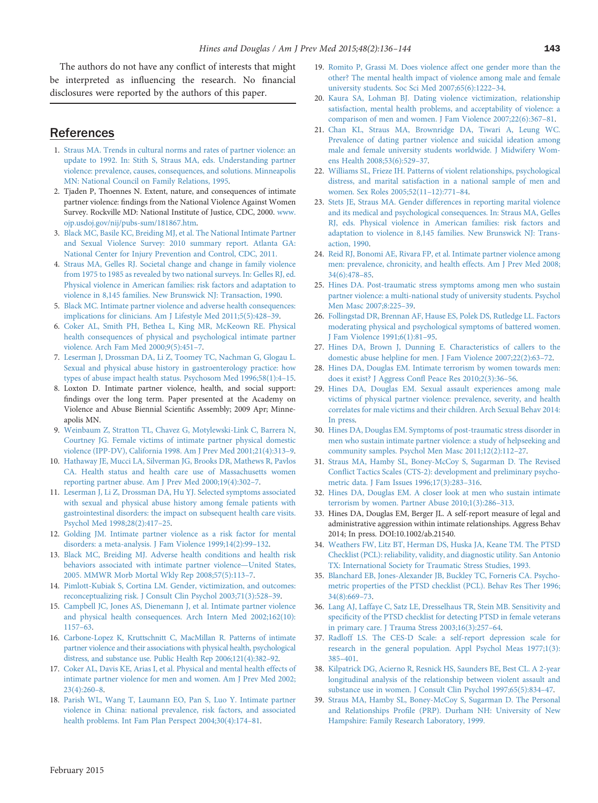<span id="page-7-0"></span>The authors do not have any conflict of interests that might be interpreted as influencing the research. No financial disclosures were reported by the authors of this paper.

## References

- 1. [Straus MA. Trends in cultural norms and rates of partner violence: an](http://refhub.elsevier.com/S0749-3797(14)00489-9/sbref1) [update to 1992. In: Stith S, Straus MA, eds. Understanding partner](http://refhub.elsevier.com/S0749-3797(14)00489-9/sbref1) [violence: prevalence, causes, consequences, and solutions. Minneapolis](http://refhub.elsevier.com/S0749-3797(14)00489-9/sbref1) [MN: National Council on Family Relations, 1995.](http://refhub.elsevier.com/S0749-3797(14)00489-9/sbref1)
- 2. Tjaden P, Thoennes N. Extent, nature, and consequences of intimate partner violence: findings from the National Violence Against Women Survey. Rockville MD: National Institute of Justice, CDC, 2000. [www.](http://www.ojp.usdoj.gov/nij/pubs-sum/181867.htm) [ojp.usdoj.gov/nij/pubs-sum/181867.htm](http://www.ojp.usdoj.gov/nij/pubs-sum/181867.htm).
- 3. [Black MC, Basile KC, Breiding MJ, et al. The National Intimate Partner](http://refhub.elsevier.com/S0749-3797(14)00489-9/sbref3) [and Sexual Violence Survey: 2010 summary report. Atlanta GA:](http://refhub.elsevier.com/S0749-3797(14)00489-9/sbref3) [National Center for Injury Prevention and Control, CDC, 2011.](http://refhub.elsevier.com/S0749-3797(14)00489-9/sbref3)
- 4. [Straus MA, Gelles RJ. Societal change and change in family violence](http://refhub.elsevier.com/S0749-3797(14)00489-9/sbref4) [from 1975 to 1985 as revealed by two national surveys. In: Gelles RJ, ed.](http://refhub.elsevier.com/S0749-3797(14)00489-9/sbref4) [Physical violence in American families: risk factors and adaptation to](http://refhub.elsevier.com/S0749-3797(14)00489-9/sbref4) [violence in 8,145 families. New Brunswick NJ: Transaction, 1990.](http://refhub.elsevier.com/S0749-3797(14)00489-9/sbref4)
- 5. [Black MC. Intimate partner violence and adverse health consequences:](http://refhub.elsevier.com/S0749-3797(14)00489-9/sbref5) [implications for clinicians. Am J Lifestyle Med 2011;5\(5\):428](http://refhub.elsevier.com/S0749-3797(14)00489-9/sbref5)–39.
- 6. [Coker AL, Smith PH, Bethea L, King MR, McKeown RE. Physical](http://refhub.elsevier.com/S0749-3797(14)00489-9/sbref6) [health consequences of physical and psychological intimate partner](http://refhub.elsevier.com/S0749-3797(14)00489-9/sbref6) [violence. Arch Fam Med 2000;9\(5\):451](http://refhub.elsevier.com/S0749-3797(14)00489-9/sbref6)–7.
- 7. [Leserman J, Drossman DA, Li Z, Toomey TC, Nachman G, Glogau L.](http://refhub.elsevier.com/S0749-3797(14)00489-9/sbref7) [Sexual and physical abuse history in gastroenterology practice: how](http://refhub.elsevier.com/S0749-3797(14)00489-9/sbref7) [types of abuse impact health status. Psychosom Med 1996;58\(1\):4](http://refhub.elsevier.com/S0749-3797(14)00489-9/sbref7)–15.
- 8. Loxton D. Intimate partner violence, health, and social support: findings over the long term. Paper presented at the Academy on Violence and Abuse Biennial Scientific Assembly; 2009 Apr; Minneapolis MN.
- 9. [Weinbaum Z, Stratton TL, Chavez G, Motylewski-Link C, Barrera N,](http://refhub.elsevier.com/S0749-3797(14)00489-9/sbref9) [Courtney JG. Female victims of intimate partner physical domestic](http://refhub.elsevier.com/S0749-3797(14)00489-9/sbref9) [violence \(IPP-DV\), California 1998. Am J Prev Med 2001;21\(4\):313](http://refhub.elsevier.com/S0749-3797(14)00489-9/sbref9)–9.
- 10. [Hathaway JE, Mucci LA, Silverman JG, Brooks DR, Mathews R, Pavlos](http://refhub.elsevier.com/S0749-3797(14)00489-9/sbref10) [CA. Health status and health care use of Massachusetts women](http://refhub.elsevier.com/S0749-3797(14)00489-9/sbref10) [reporting partner abuse. Am J Prev Med 2000;19\(4\):302](http://refhub.elsevier.com/S0749-3797(14)00489-9/sbref10)–7.
- 11. [Leserman J, Li Z, Drossman DA, Hu YJ. Selected symptoms associated](http://refhub.elsevier.com/S0749-3797(14)00489-9/sbref11) [with sexual and physical abuse history among female patients with](http://refhub.elsevier.com/S0749-3797(14)00489-9/sbref11) [gastrointestinal disorders: the impact on subsequent health care visits.](http://refhub.elsevier.com/S0749-3797(14)00489-9/sbref11) [Psychol Med 1998;28\(2\):417](http://refhub.elsevier.com/S0749-3797(14)00489-9/sbref11)–25.
- 12. [Golding JM. Intimate partner violence as a risk factor for mental](http://refhub.elsevier.com/S0749-3797(14)00489-9/sbref12) [disorders: a meta-analysis. J Fam Violence 1999;14\(2\):99](http://refhub.elsevier.com/S0749-3797(14)00489-9/sbref12)–132.
- 13. [Black MC, Breiding MJ. Adverse health conditions and health risk](http://refhub.elsevier.com/S0749-3797(14)00489-9/sbref13) [behaviors associated with intimate partner violence](http://refhub.elsevier.com/S0749-3797(14)00489-9/sbref13)—United States, [2005. MMWR Morb Mortal Wkly Rep 2008;57\(5\):113](http://refhub.elsevier.com/S0749-3797(14)00489-9/sbref13)–7.
- 14. [Pimlott-Kubiak S, Cortina LM. Gender, victimization, and outcomes:](http://refhub.elsevier.com/S0749-3797(14)00489-9/sbref14) [reconceptualizing risk. J Consult Clin Psychol 2003;71\(3\):528](http://refhub.elsevier.com/S0749-3797(14)00489-9/sbref14)–39.
- 15. [Campbell JC, Jones AS, Dienemann J, et al. Intimate partner violence](http://refhub.elsevier.com/S0749-3797(14)00489-9/sbref15) [and physical health consequences. Arch Intern Med 2002;162\(10\):](http://refhub.elsevier.com/S0749-3797(14)00489-9/sbref15) [1157](http://refhub.elsevier.com/S0749-3797(14)00489-9/sbref15)–63.
- 16. [Carbone-Lopez K, Kruttschnitt C, MacMillan R. Patterns of intimate](http://refhub.elsevier.com/S0749-3797(14)00489-9/sbref16) [partner violence and their associations with physical health, psychological](http://refhub.elsevier.com/S0749-3797(14)00489-9/sbref16) [distress, and substance use. Public Health Rep 2006;121\(4\):382](http://refhub.elsevier.com/S0749-3797(14)00489-9/sbref16)–92.
- 17. [Coker AL, Davis KE, Arias I, et al. Physical and mental health effects of](http://refhub.elsevier.com/S0749-3797(14)00489-9/sbref17) [intimate partner violence for men and women. Am J Prev Med 2002;](http://refhub.elsevier.com/S0749-3797(14)00489-9/sbref17) [23\(4\):260](http://refhub.elsevier.com/S0749-3797(14)00489-9/sbref17)–8.
- 18. [Parish WL, Wang T, Laumann EO, Pan S, Luo Y. Intimate partner](http://refhub.elsevier.com/S0749-3797(14)00489-9/sbref18) [violence in China: national prevalence, risk factors, and associated](http://refhub.elsevier.com/S0749-3797(14)00489-9/sbref18) [health problems. Int Fam Plan Perspect 2004;30\(4\):174](http://refhub.elsevier.com/S0749-3797(14)00489-9/sbref18)–81.
- 19. [Romito P, Grassi M. Does violence affect one gender more than the](http://refhub.elsevier.com/S0749-3797(14)00489-9/sbref19) [other? The mental health impact of violence among male and female](http://refhub.elsevier.com/S0749-3797(14)00489-9/sbref19) [university students. Soc Sci Med 2007;65\(6\):1222](http://refhub.elsevier.com/S0749-3797(14)00489-9/sbref19)–34.
- 20. [Kaura SA, Lohman BJ. Dating violence victimization, relationship](http://refhub.elsevier.com/S0749-3797(14)00489-9/sbref20) [satisfaction, mental health problems, and acceptability of violence: a](http://refhub.elsevier.com/S0749-3797(14)00489-9/sbref20) [comparison of men and women. J Fam Violence 2007;22\(6\):367](http://refhub.elsevier.com/S0749-3797(14)00489-9/sbref20)–81.
- 21. [Chan KL, Straus MA, Brownridge DA, Tiwari A, Leung WC.](http://refhub.elsevier.com/S0749-3797(14)00489-9/sbref21) [Prevalence of dating partner violence and suicidal ideation among](http://refhub.elsevier.com/S0749-3797(14)00489-9/sbref21) [male and female university students worldwide. J Midwifery Wom](http://refhub.elsevier.com/S0749-3797(14)00489-9/sbref21)[ens Health 2008;53\(6\):529](http://refhub.elsevier.com/S0749-3797(14)00489-9/sbref21)–37.
- 22. [Williams SL, Frieze IH. Patterns of violent relationships, psychological](http://refhub.elsevier.com/S0749-3797(14)00489-9/sbref22) [distress, and marital satisfaction in a national sample of men and](http://refhub.elsevier.com/S0749-3797(14)00489-9/sbref22) [women. Sex Roles 2005;52\(11](http://refhub.elsevier.com/S0749-3797(14)00489-9/sbref22)–12):771–84.
- 23. [Stets JE, Straus MA. Gender differences in reporting marital violence](http://refhub.elsevier.com/S0749-3797(14)00489-9/sbref23) [and its medical and psychological consequences. In: Straus MA, Gelles](http://refhub.elsevier.com/S0749-3797(14)00489-9/sbref23) [RJ, eds. Physical violence in American families: risk factors and](http://refhub.elsevier.com/S0749-3797(14)00489-9/sbref23) [adaptation to violence in 8,145 families. New Brunswick NJ: Trans](http://refhub.elsevier.com/S0749-3797(14)00489-9/sbref23)[action, 1990.](http://refhub.elsevier.com/S0749-3797(14)00489-9/sbref23)
- 24. [Reid RJ, Bonomi AE, Rivara FP, et al. Intimate partner violence among](http://refhub.elsevier.com/S0749-3797(14)00489-9/sbref24) [men: prevalence, chronicity, and health effects. Am J Prev Med 2008;](http://refhub.elsevier.com/S0749-3797(14)00489-9/sbref24) [34\(6\):478](http://refhub.elsevier.com/S0749-3797(14)00489-9/sbref24)–85.
- 25. [Hines DA. Post-traumatic stress symptoms among men who sustain](http://refhub.elsevier.com/S0749-3797(14)00489-9/sbref25) [partner violence: a multi-national study of university students. Psychol](http://refhub.elsevier.com/S0749-3797(14)00489-9/sbref25) [Men Masc 2007;8:225](http://refhub.elsevier.com/S0749-3797(14)00489-9/sbref25)–39.
- 26. [Follingstad DR, Brennan AF, Hause ES, Polek DS, Rutledge LL. Factors](http://refhub.elsevier.com/S0749-3797(14)00489-9/sbref26) [moderating physical and psychological symptoms of battered women.](http://refhub.elsevier.com/S0749-3797(14)00489-9/sbref26) [J Fam Violence 1991;6\(1\):81](http://refhub.elsevier.com/S0749-3797(14)00489-9/sbref26)–95.
- 27. [Hines DA, Brown J, Dunning E. Characteristics of callers to the](http://refhub.elsevier.com/S0749-3797(14)00489-9/sbref27) [domestic abuse helpline for men. J Fam Violence 2007;22\(2\):63](http://refhub.elsevier.com/S0749-3797(14)00489-9/sbref27)–72.
- 28. [Hines DA, Douglas EM. Intimate terrorism by women towards men:](http://refhub.elsevier.com/S0749-3797(14)00489-9/sbref28) [does it exist? J Aggress Con](http://refhub.elsevier.com/S0749-3797(14)00489-9/sbref28)fl Peace Res 2010;2(3):36–56.
- 29. [Hines DA, Douglas EM. Sexual assault experiences among male](http://refhub.elsevier.com/S0749-3797(14)00489-9/sbref29) [victims of physical partner violence: prevalence, severity, and health](http://refhub.elsevier.com/S0749-3797(14)00489-9/sbref29) [correlates for male victims and their children. Arch Sexual Behav 2014:](http://refhub.elsevier.com/S0749-3797(14)00489-9/sbref29) [In press.](http://refhub.elsevier.com/S0749-3797(14)00489-9/sbref29)
- 30. [Hines DA, Douglas EM. Symptoms of post-traumatic stress disorder in](http://refhub.elsevier.com/S0749-3797(14)00489-9/sbref30) [men who sustain intimate partner violence: a study of helpseeking and](http://refhub.elsevier.com/S0749-3797(14)00489-9/sbref30) [community samples. Psychol Men Masc 2011;12\(2\):112](http://refhub.elsevier.com/S0749-3797(14)00489-9/sbref30)–27.
- 31. [Straus MA, Hamby SL, Boney-McCoy S, Sugarman D. The Revised](http://refhub.elsevier.com/S0749-3797(14)00489-9/sbref31) Conflict [Tactics Scales \(CTS-2\): development and preliminary psycho](http://refhub.elsevier.com/S0749-3797(14)00489-9/sbref31)[metric data. J Fam Issues 1996;17\(3\):283](http://refhub.elsevier.com/S0749-3797(14)00489-9/sbref31)–316.
- 32. [Hines DA, Douglas EM. A closer look at men who sustain intimate](http://refhub.elsevier.com/S0749-3797(14)00489-9/sbref32) [terrorism by women. Partner Abuse 2010;1\(3\):286](http://refhub.elsevier.com/S0749-3797(14)00489-9/sbref32)–313.
- 33. Hines DA, Douglas EM, Berger JL. A self-report measure of legal and administrative aggression within intimate relationships. Aggress Behav 2014; In press. DOI:10.1002/ab.21540.
- 34. [Weathers FW, Litz BT, Herman DS, Huska JA, Keane TM. The PTSD](http://refhub.elsevier.com/S0749-3797(14)00489-9/sbref33) [Checklist \(PCL\): reliability, validity, and diagnostic utility. San Antonio](http://refhub.elsevier.com/S0749-3797(14)00489-9/sbref33) [TX: International Society for Traumatic Stress Studies, 1993.](http://refhub.elsevier.com/S0749-3797(14)00489-9/sbref33)
- 35. [Blanchard EB, Jones-Alexander JB, Buckley TC, Forneris CA. Psycho](http://refhub.elsevier.com/S0749-3797(14)00489-9/sbref34)[metric properties of the PTSD checklist \(PCL\). Behav Res Ther 1996;](http://refhub.elsevier.com/S0749-3797(14)00489-9/sbref34) [34\(8\):669](http://refhub.elsevier.com/S0749-3797(14)00489-9/sbref34)–73.
- 36. [Lang AJ, Laffaye C, Satz LE, Dresselhaus TR, Stein MB. Sensitivity and](http://refhub.elsevier.com/S0749-3797(14)00489-9/sbref35) specifi[city of the PTSD checklist for detecting PTSD in female veterans](http://refhub.elsevier.com/S0749-3797(14)00489-9/sbref35) [in primary care. J Trauma Stress 2003;16\(3\):257](http://refhub.elsevier.com/S0749-3797(14)00489-9/sbref35)–64.
- 37. [Radloff LS. The CES-D Scale: a self-report depression scale for](http://refhub.elsevier.com/S0749-3797(14)00489-9/sbref36) [research in the general population. Appl Psychol Meas 1977;1\(3\):](http://refhub.elsevier.com/S0749-3797(14)00489-9/sbref36) 385–[401.](http://refhub.elsevier.com/S0749-3797(14)00489-9/sbref36)
- 38. [Kilpatrick DG, Acierno R, Resnick HS, Saunders BE, Best CL. A 2-year](http://refhub.elsevier.com/S0749-3797(14)00489-9/sbref37) [longitudinal analysis of the relationship between violent assault and](http://refhub.elsevier.com/S0749-3797(14)00489-9/sbref37) [substance use in women. J Consult Clin Psychol 1997;65\(5\):834](http://refhub.elsevier.com/S0749-3797(14)00489-9/sbref37)–47.
- 39. [Straus MA, Hamby SL, Boney-McCoy S, Sugarman D. The Personal](http://refhub.elsevier.com/S0749-3797(14)00489-9/sbref38) and Relationships Profi[le \(PRP\). Durham NH: University of New](http://refhub.elsevier.com/S0749-3797(14)00489-9/sbref38) [Hampshire: Family Research Laboratory, 1999.](http://refhub.elsevier.com/S0749-3797(14)00489-9/sbref38)